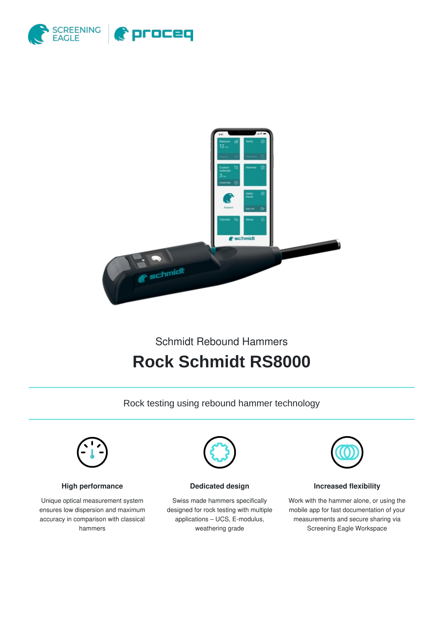



## Schmidt Rebound Hammers

# **Rock Schmidt RS8000**

Rock testing using rebound hammer technology



#### **High performance**

Unique optical measurement system ensures low dispersion and maximum accuracy in comparison with classical hammers



**Dedicated design**

Swiss made hammers specifically designed for rock testing with multiple applications – UCS, E-modulus, weathering grade



#### **Increased flexibility**

Work with the hammer alone, or using the mobile app for fast documentation of your measurements and secure sharing via Screening Eagle Workspace